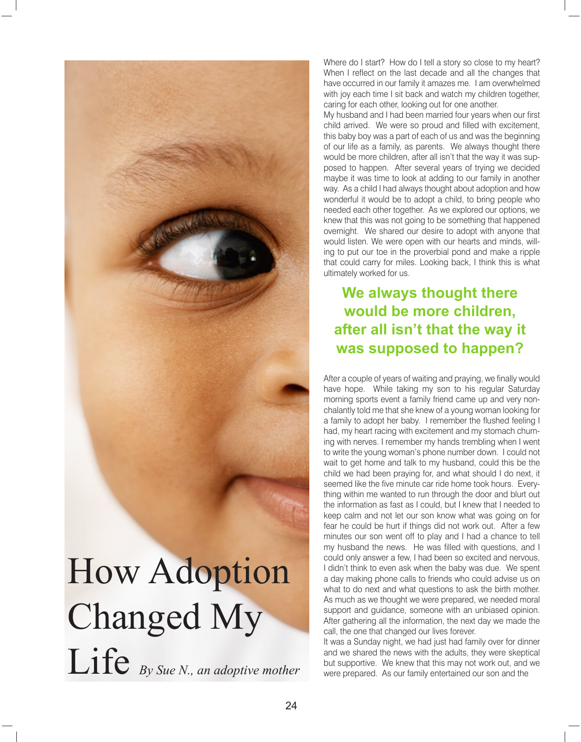

Where do I start? How do I tell a story so close to my heart? When I reflect on the last decade and all the changes that have occurred in our family it amazes me. I am overwhelmed with joy each time I sit back and watch my children together, caring for each other, looking out for one another.

My husband and I had been married four years when our first child arrived. We were so proud and filled with excitement, this baby boy was a part of each of us and was the beginning of our life as a family, as parents. We always thought there would be more children, after all isn't that the way it was supposed to happen. After several years of trying we decided maybe it was time to look at adding to our family in another way. As a child I had always thought about adoption and how wonderful it would be to adopt a child, to bring people who needed each other together. As we explored our options, we knew that this was not going to be something that happened overnight. We shared our desire to adopt with anyone that would listen. We were open with our hearts and minds, willing to put our toe in the proverbial pond and make a ripple that could carry for miles. Looking back, I think this is what ultimately worked for us.

## **We always thought there would be more children, after all isn't that the way it was supposed to happen?**

After a couple of years of waiting and praying, we finally would have hope. While taking my son to his regular Saturday morning sports event a family friend came up and very nonchalantly told me that she knew of a young woman looking for a family to adopt her baby. I remember the flushed feeling I had, my heart racing with excitement and my stomach churning with nerves. I remember my hands trembling when I went to write the young woman's phone number down. I could not wait to get home and talk to my husband, could this be the child we had been praying for, and what should I do next, it seemed like the five minute car ride home took hours. Everything within me wanted to run through the door and blurt out the information as fast as I could, but I knew that I needed to keep calm and not let our son know what was going on for fear he could be hurt if things did not work out. After a few minutes our son went off to play and I had a chance to tell my husband the news. He was filled with questions, and I could only answer a few, I had been so excited and nervous, I didn't think to even ask when the baby was due. We spent a day making phone calls to friends who could advise us on what to do next and what questions to ask the birth mother. As much as we thought we were prepared, we needed moral support and guidance, someone with an unbiased opinion. After gathering all the information, the next day we made the call, the one that changed our lives forever.

It was a Sunday night, we had just had family over for dinner and we shared the news with the adults, they were skeptical but supportive. We knew that this may not work out, and we were prepared. As our family entertained our son and the